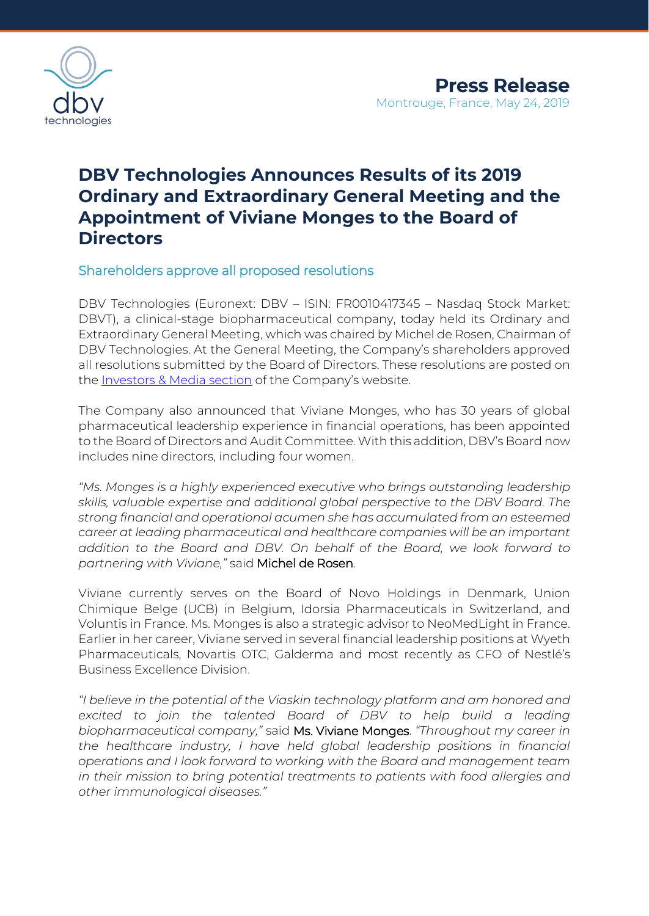

## **DBV Technologies Announces Results of its 2019 Ordinary and Extraordinary General Meeting and the Appointment of Viviane Monges to the Board of Directors**

Shareholders approve all proposed resolutions

DBV Technologies (Euronext: DBV – ISIN: FR0010417345 – Nasdaq Stock Market: DBVT), a clinical-stage biopharmaceutical company, today held its Ordinary and Extraordinary General Meeting, which was chaired by Michel de Rosen, Chairman of DBV Technologies. At the General Meeting, the Company's shareholders approved all resolutions submitted by the Board of Directors. These resolutions are posted on the **Investors & Media section** of the Company's website.

The Company also announced that Viviane Monges, who has 30 years of global pharmaceutical leadership experience in financial operations, has been appointed to the Board of Directors and Audit Committee. With this addition, DBV's Board now includes nine directors, including four women.

*"Ms. Monges is a highly experienced executive who brings outstanding leadership skills, valuable expertise and additional global perspective to the DBV Board. The strong financial and operational acumen she has accumulated from an esteemed career at leading pharmaceutical and healthcare companies will be an important addition to the Board and DBV. On behalf of the Board, we look forward to partnering with Viviane,"* said Michel de Rosen.

Viviane currently serves on the Board of Novo Holdings in Denmark, Union Chimique Belge (UCB) in Belgium, Idorsia Pharmaceuticals in Switzerland, and Voluntis in France. Ms. Monges is also a strategic advisor to NeoMedLight in France. Earlier in her career, Viviane served in several financial leadership positions at Wyeth Pharmaceuticals, Novartis OTC, Galderma and most recently as CFO of Nestlé's Business Excellence Division.

*"I believe in the potential of the Viaskin technology platform and am honored and excited to join the talented Board of DBV to help build a leading biopharmaceutical company,"* said Ms. Viviane Monges. *"Throughout my career in the healthcare industry, I have held global leadership positions in financial operations and I look forward to working with the Board and management team in their mission to bring potential treatments to patients with food allergies and other immunological diseases."*